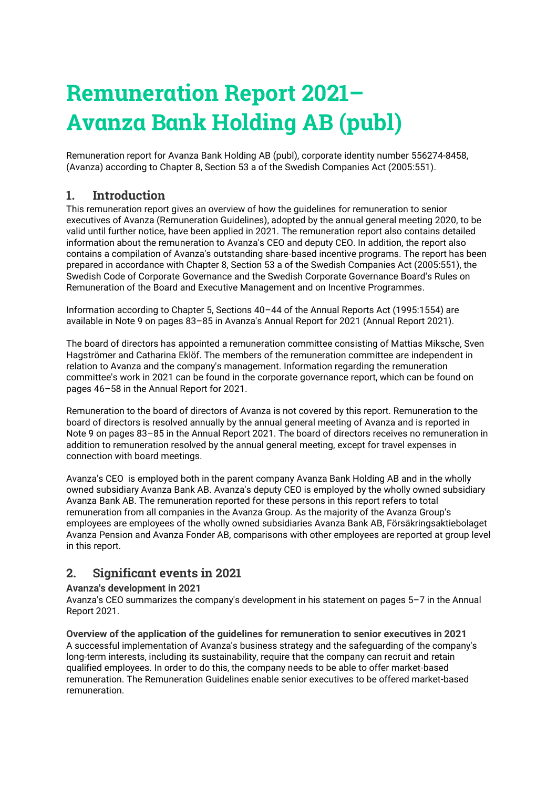# **Remuneration Report 2021– Avanza Bank Holding AB (publ)**

Remuneration report for Avanza Bank Holding AB (publ), corporate identity number 556274-8458, (Avanza) according to Chapter 8, Section 53 a of the Swedish Companies Act (2005:551).

## **1. Introduction**

This remuneration report gives an overview of how the guidelines for remuneration to senior executives of Avanza (Remuneration Guidelines), adopted by the annual general meeting 2020, to be valid until further notice, have been applied in 2021. The remuneration report also contains detailed information about the remuneration to Avanza's CEO and deputy CEO. In addition, the report also contains a compilation of Avanza's outstanding share-based incentive programs. The report has been prepared in accordance with Chapter 8, Section 53 a of the Swedish Companies Act (2005:551), the Swedish Code of Corporate Governance and the Swedish Corporate Governance Board's Rules on Remuneration of the Board and Executive Management and on Incentive Programmes.

Information according to Chapter 5, Sections 40–44 of the Annual Reports Act (1995:1554) are available in Note 9 on pages 83–85 in Avanza's Annual Report for 2021 (Annual Report 2021).

The board of directors has appointed a remuneration committee consisting of Mattias Miksche, Sven Hagströmer and Catharina Eklöf. The members of the remuneration committee are independent in relation to Avanza and the company's management. Information regarding the remuneration committee's work in 2021 can be found in the corporate governance report, which can be found on pages 46–58 in the Annual Report for 2021.

Remuneration to the board of directors of Avanza is not covered by this report. Remuneration to the board of directors is resolved annually by the annual general meeting of Avanza and is reported in Note 9 on pages 83–85 in the Annual Report 2021. The board of directors receives no remuneration in addition to remuneration resolved by the annual general meeting, except for travel expenses in connection with board meetings.

Avanza's CEO is employed both in the parent company Avanza Bank Holding AB and in the wholly owned subsidiary Avanza Bank AB. Avanza's deputy CEO is employed by the wholly owned subsidiary Avanza Bank AB. The remuneration reported for these persons in this report refers to total remuneration from all companies in the Avanza Group. As the majority of the Avanza Group's employees are employees of the wholly owned subsidiaries Avanza Bank AB, Försäkringsaktiebolaget Avanza Pension and Avanza Fonder AB, comparisons with other employees are reported at group level in this report.

# **2. Significant events in 2021**

#### **Avanza's development in 2021**

Avanza's CEO summarizes the company's development in his statement on pages 5–7 in the Annual Report 2021.

**Overview of the application of the guidelines for remuneration to senior executives in 2021** A successful implementation of Avanza's business strategy and the safeguarding of the company's long-term interests, including its sustainability, require that the company can recruit and retain qualified employees. In order to do this, the company needs to be able to offer market-based remuneration. The Remuneration Guidelines enable senior executives to be offered market-based remuneration.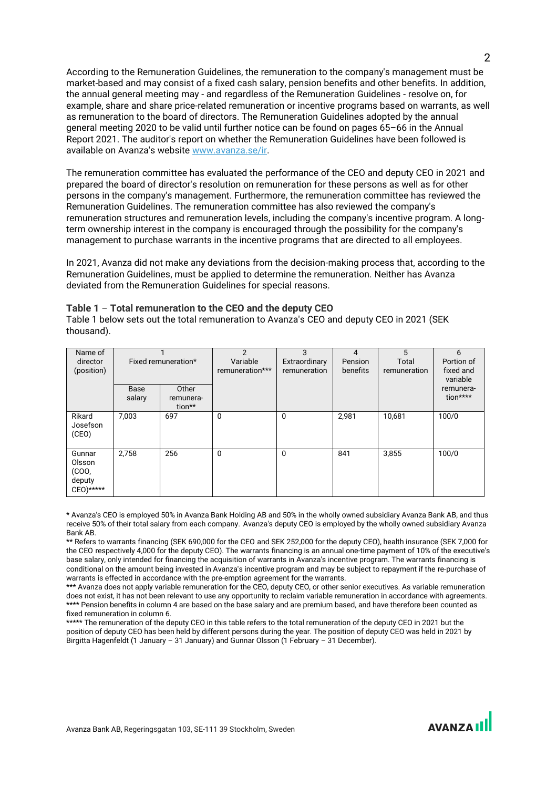According to the Remuneration Guidelines, the remuneration to the company's management must be market-based and may consist of a fixed cash salary, pension benefits and other benefits. In addition, the annual general meeting may - and regardless of the Remuneration Guidelines - resolve on, for example, share and share price-related remuneration or incentive programs based on warrants, as well as remuneration to the board of directors. The Remuneration Guidelines adopted by the annual general meeting 2020 to be valid until further notice can be found on pages 65–66 in the Annual Report 2021. The auditor's report on whether the Remuneration Guidelines have been followed is available on Avanza's website [www.avanza.se/ir.](http://www.avanza.se/ir)

The remuneration committee has evaluated the performance of the CEO and deputy CEO in 2021 and prepared the board of director's resolution on remuneration for these persons as well as for other persons in the company's management. Furthermore, the remuneration committee has reviewed the Remuneration Guidelines. The remuneration committee has also reviewed the company's remuneration structures and remuneration levels, including the company's incentive program. A longterm ownership interest in the company is encouraged through the possibility for the company's management to purchase warrants in the incentive programs that are directed to all employees.

In 2021, Avanza did not make any deviations from the decision-making process that, according to the Remuneration Guidelines, must be applied to determine the remuneration. Neither has Avanza deviated from the Remuneration Guidelines for special reasons.

Table 1 below sets out the total remuneration to Avanza's CEO and deputy CEO in 2021 (SEK

| Name of<br>director<br>(position)                   | Fixed remuneration* |                              | $\mathcal{P}$<br>Variable<br>remuneration*** | 3<br>Extraordinary<br>remuneration | 4<br>Pension<br>benefits | 5<br>Total<br>remuneration | 6<br>Portion of<br>fixed and<br>variable |
|-----------------------------------------------------|---------------------|------------------------------|----------------------------------------------|------------------------------------|--------------------------|----------------------------|------------------------------------------|
|                                                     | Base<br>salary      | Other<br>remunera-<br>tion** |                                              |                                    |                          |                            | remunera-<br>tion****                    |
| Rikard<br>Josefson<br>(CEO)                         | 7,003               | 697                          | 0                                            | $\mathbf{0}$                       | 2,981                    | 10,681                     | 100/0                                    |
| Gunnar<br>Olsson<br>(COO,<br>deputy<br>$CEO)$ ***** | 2,758               | 256                          | $\mathbf 0$                                  | $\mathbf{0}$                       | 841                      | 3,855                      | 100/0                                    |

#### **Table 1** – **Total remuneration to the CEO and the deputy CEO**

thousand).

\* Avanza's CEO is employed 50% in Avanza Bank Holding AB and 50% in the wholly owned subsidiary Avanza Bank AB, and thus receive 50% of their total salary from each company. Avanza's deputy CEO is employed by the wholly owned subsidiary Avanza Bank AB.

\*\* Refers to warrants financing (SEK 690,000 for the CEO and SEK 252,000 for the deputy CEO), health insurance (SEK 7,000 for the CEO respectively 4,000 for the deputy CEO). The warrants financing is an annual one-time payment of 10% of the executive's base salary, only intended for financing the acquisition of warrants in Avanza's incentive program. The warrants financing is conditional on the amount being invested in Avanza's incentive program and may be subject to repayment if the re-purchase of warrants is effected in accordance with the pre-emption agreement for the warrants.

\*\*\* Avanza does not apply variable remuneration for the CEO, deputy CEO, or other senior executives. As variable remuneration does not exist, it has not been relevant to use any opportunity to reclaim variable remuneration in accordance with agreements. \*\*\*\* Pension benefits in column 4 are based on the base salary and are premium based, and have therefore been counted as fixed remuneration in column 6.

\*\*\*\*\* The remuneration of the deputy CEO in this table refers to the total remuneration of the deputy CEO in 2021 but the position of deputy CEO has been held by different persons during the year. The position of deputy CEO was held in 2021 by Birgitta Hagenfeldt (1 January – 31 January) and Gunnar Olsson (1 February – 31 December).

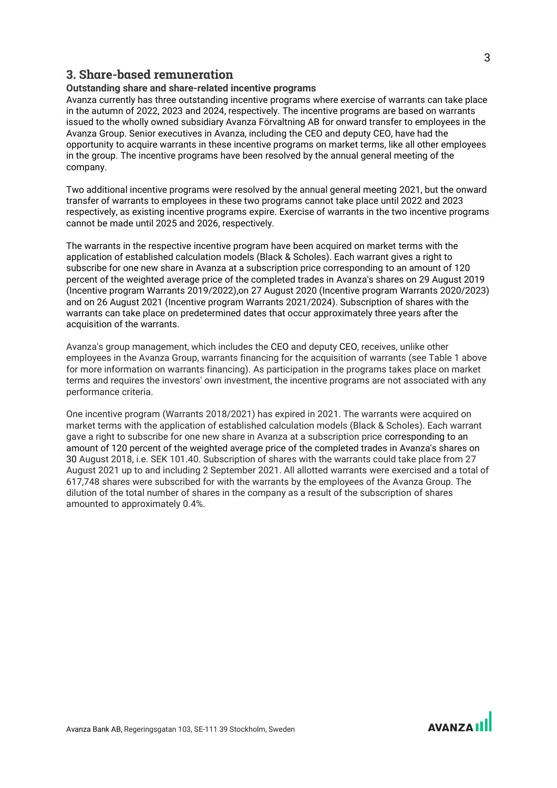#### **3. Share-based remuneration**

#### **Outstanding share and share-related incentive programs**

Avanza currently has three outstanding incentive programs where exercise of warrants can take place in the autumn of 2022, 2023 and 2024, respectively. The incentive programs are based on warrants issued to the wholly owned subsidiary Avanza Förvaltning AB for onward transfer to employees in the Avanza Group. Senior executives in Avanza, including the CEO and deputy CEO, have had the opportunity to acquire warrants in these incentive programs on market terms, like all other employees in the group. The incentive programs have been resolved by the annual general meeting of the company.

Two additional incentive programs were resolved by the annual general meeting 2021, but the onward transfer of warrants to employees in these two programs cannot take place until 2022 and 2023 respectively, as existing incentive programs expire. Exercise of warrants in the two incentive programs cannot be made until 2025 and 2026, respectively.

The warrants in the respective incentive program have been acquired on market terms with the application of established calculation models (Black & Scholes). Each warrant gives a right to subscribe for one new share in Avanza at a subscription price corresponding to an amount of 120 percent of the weighted average price of the completed trades in Avanza's shares on 29 August 2019 (Incentive program Warrants 2019/2022),on 27 August 2020 (Incentive program Warrants 2020/2023) and on 26 August 2021 (Incentive program Warrants 2021/2024). Subscription of shares with the warrants can take place on predetermined dates that occur approximately three years after the acquisition of the warrants.

Avanza's group management, which includes the CEO and deputy CEO, receives, unlike other employees in the Avanza Group, warrants financing for the acquisition of warrants (see Table 1 above for more information on warrants financing). As participation in the programs takes place on market terms and requires the investors' own investment, the incentive programs are not associated with any performance criteria.

One incentive program (Warrants 2018/2021) has expired in 2021. The warrants were acquired on market terms with the application of established calculation models (Black & Scholes). Each warrant gave a right to subscribe for one new share in Avanza at a subscription price corresponding to an amount of 120 percent of the weighted average price of the completed trades in Avanza's shares on 30 August 2018, i.e. SEK 101.40. Subscription of shares with the warrants could take place from 27 August 2021 up to and including 2 September 2021. All allotted warrants were exercised and a total of 617,748 shares were subscribed for with the warrants by the employees of the Avanza Group. The dilution of the total number of shares in the company as a result of the subscription of shares amounted to approximately 0.4%.

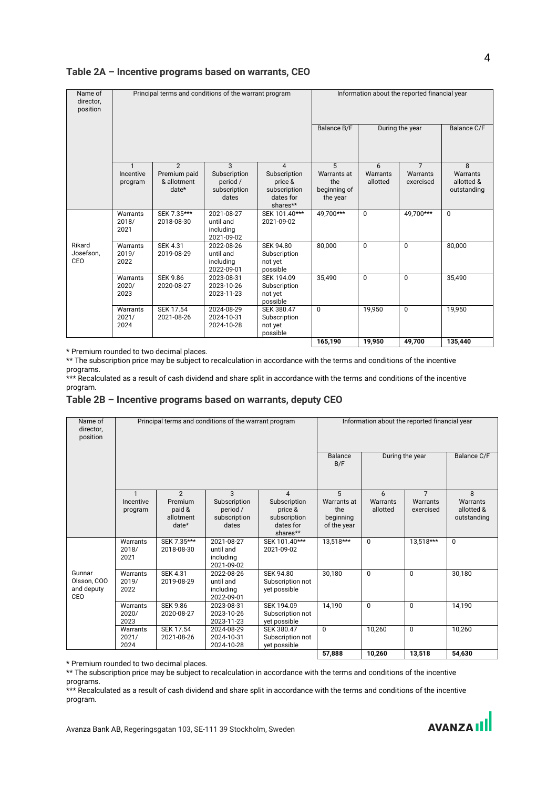| Name of<br>director,<br>position |                                      |                                                          | Principal terms and conditions of the warrant program  |                                                                                    | Information about the reported financial year       |                           |                                         |                                            |  |
|----------------------------------|--------------------------------------|----------------------------------------------------------|--------------------------------------------------------|------------------------------------------------------------------------------------|-----------------------------------------------------|---------------------------|-----------------------------------------|--------------------------------------------|--|
|                                  |                                      |                                                          |                                                        | Balance B/F                                                                        | During the year                                     |                           | Balance C/F                             |                                            |  |
|                                  | $\mathbf{1}$<br>Incentive<br>program | $\overline{2}$<br>Premium paid<br>& allotment<br>$date*$ | 3<br>Subscription<br>period /<br>subscription<br>dates | $\overline{4}$<br>Subscription<br>price &<br>subscription<br>dates for<br>shares** | 5<br>Warrants at<br>the<br>beginning of<br>the year | 6<br>Warrants<br>allotted | $\overline{7}$<br>Warrants<br>exercised | 8<br>Warrants<br>allotted &<br>outstanding |  |
|                                  | Warrants<br>2018/<br>2021            | SEK 7.35***<br>2018-08-30                                | 2021-08-27<br>until and<br>including<br>2021-09-02     | SEK 101.40***<br>2021-09-02                                                        | 49.700***                                           | $\Omega$                  | 49,700***                               | $\Omega$                                   |  |
| Rikard<br>Josefson.<br>CEO       | Warrants<br>2019/<br>2022            | <b>SEK 4.31</b><br>2019-08-29                            | 2022-08-26<br>until and<br>including<br>2022-09-01     | <b>SEK 94.80</b><br>Subscription<br>not yet<br>possible                            | 80,000                                              | $\Omega$                  | $\Omega$                                | 80,000                                     |  |
|                                  | Warrants<br>2020/<br>2023            | <b>SEK 9.86</b><br>2020-08-27                            | 2023-08-31<br>2023-10-26<br>2023-11-23                 | SEK 194.09<br>Subscription<br>not yet<br>possible                                  | 35,490                                              | $\Omega$                  | $\Omega$                                | 35,490                                     |  |
|                                  | Warrants<br>2021/<br>2024            | <b>SEK 17.54</b><br>2021-08-26                           | 2024-08-29<br>2024-10-31<br>2024-10-28                 | SEK 380.47<br>Subscription<br>not yet<br>possible                                  | $\Omega$                                            | 19,950                    | $\Omega$                                | 19,950                                     |  |
|                                  |                                      |                                                          |                                                        |                                                                                    | 165,190                                             | 19,950                    | 49,700                                  | 135,440                                    |  |

#### **Table 2A – Incentive programs based on warrants, CEO**

\* Premium rounded to two decimal places.

\*\* The subscription price may be subject to recalculation in accordance with the terms and conditions of the incentive programs.

\*\*\* Recalculated as a result of cash dividend and share split in accordance with the terms and conditions of the incentive program.

#### **Table 2B – Incentive programs based on warrants, deputy CEO**

| Name of<br>director,<br>position           |                           |                                         | Principal terms and conditions of the warrant program |                                                                  | Information about the reported financial year  |                      |                       |                                       |  |
|--------------------------------------------|---------------------------|-----------------------------------------|-------------------------------------------------------|------------------------------------------------------------------|------------------------------------------------|----------------------|-----------------------|---------------------------------------|--|
|                                            |                           |                                         |                                                       | Balance<br>B/F                                                   | During the year                                |                      | Balance C/F           |                                       |  |
|                                            |                           | $\mathfrak{p}$                          | 3                                                     | $\overline{\mathcal{A}}$                                         | 5                                              | 6                    | $\overline{7}$        | 8                                     |  |
|                                            | Incentive<br>program      | Premium<br>paid &<br>allotment<br>date* | Subscription<br>period /<br>subscription<br>dates     | Subscription<br>price &<br>subscription<br>dates for<br>shares** | Warrants at<br>the<br>beginning<br>of the year | Warrants<br>allotted | Warrants<br>exercised | Warrants<br>allotted &<br>outstanding |  |
|                                            | Warrants<br>2018/<br>2021 | SEK 7.35***<br>2018-08-30               | 2021-08-27<br>until and<br>including<br>2021-09-02    | SEK 101.40***<br>2021-09-02                                      | 13,518***                                      | $\Omega$             | 13,518***             | $\Omega$                              |  |
| Gunnar<br>Olsson, COO<br>and deputy<br>CEO | Warrants<br>2019/<br>2022 | <b>SEK 4.31</b><br>2019-08-29           | 2022-08-26<br>until and<br>including<br>2022-09-01    | <b>SEK 94.80</b><br>Subscription not<br>yet possible             | 30,180                                         | $\Omega$             | $\Omega$              | 30,180                                |  |
|                                            | Warrants<br>2020/<br>2023 | <b>SEK 9.86</b><br>2020-08-27           | 2023-08-31<br>2023-10-26<br>2023-11-23                | SEK 194.09<br>Subscription not<br>yet possible                   | 14,190                                         | $\Omega$             | $\Omega$              | 14,190                                |  |
|                                            | Warrants<br>2021/<br>2024 | <b>SEK 17.54</b><br>2021-08-26          | 2024-08-29<br>2024-10-31<br>2024-10-28                | SEK 380.47<br>Subscription not<br>yet possible                   | $\Omega$                                       | 10,260               | $\Omega$              | 10,260                                |  |
|                                            |                           |                                         |                                                       |                                                                  | 57,888                                         | 10,260               | 13,518                | 54,630                                |  |

\* Premium rounded to two decimal places.

\*\* The subscription price may be subject to recalculation in accordance with the terms and conditions of the incentive programs.

\*\*\* Recalculated as a result of cash dividend and share split in accordance with the terms and conditions of the incentive program.

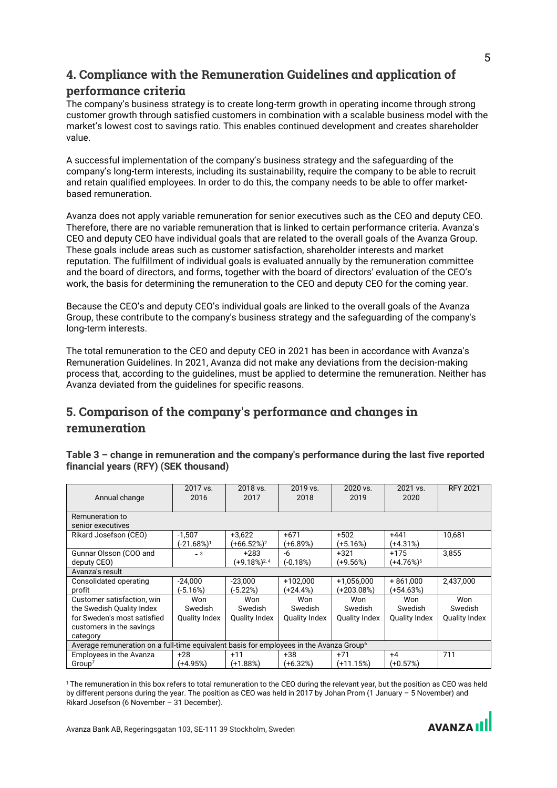# **4. Compliance with the Remuneration Guidelines and application of**

### **performance criteria**

The company's business strategy is to create long-term growth in operating income through strong customer growth through satisfied customers in combination with a scalable business model with the market's lowest cost to savings ratio. This enables continued development and creates shareholder value.

A successful implementation of the company's business strategy and the safeguarding of the company's long-term interests, including its sustainability, require the company to be able to recruit and retain qualified employees. In order to do this, the company needs to be able to offer marketbased remuneration.

Avanza does not apply variable remuneration for senior executives such as the CEO and deputy CEO. Therefore, there are no variable remuneration that is linked to certain performance criteria. Avanza's CEO and deputy CEO have individual goals that are related to the overall goals of the Avanza Group. These goals include areas such as customer satisfaction, shareholder interests and market reputation. The fulfillment of individual goals is evaluated annually by the remuneration committee and the board of directors, and forms, together with the board of directors' evaluation of the CEO's work, the basis for determining the remuneration to the CEO and deputy CEO for the coming year.

Because the CEO's and deputy CEO's individual goals are linked to the overall goals of the Avanza Group, these contribute to the company's business strategy and the safeguarding of the company's long-term interests.

The total remuneration to the CEO and deputy CEO in 2021 has been in accordance with Avanza's Remuneration Guidelines. In 2021, Avanza did not make any deviations from the decision-making process that, according to the guidelines, must be applied to determine the remuneration. Neither has Avanza deviated from the guidelines for specific reasons.

# **5. Comparison of the company's performance and changes in remuneration**

**Table 3 – change in remuneration and the company's performance during the last five reported financial years (RFY) (SEK thousand)** 

| Annual change                                                                                                                  | 2017 vs.<br>2016                       | 2018 vs.<br>2017                       | 2019 vs.<br>2018                       | 2020 vs.<br>2019                       | 2021 vs.<br>2020                       | <b>RFY 2021</b>                        |  |  |  |
|--------------------------------------------------------------------------------------------------------------------------------|----------------------------------------|----------------------------------------|----------------------------------------|----------------------------------------|----------------------------------------|----------------------------------------|--|--|--|
| Remuneration to<br>senior executives                                                                                           |                                        |                                        |                                        |                                        |                                        |                                        |  |  |  |
| Rikard Josefson (CEO)                                                                                                          | $-1.507$<br>(-21.68%) <sup>1</sup>     | $+3.622$<br>(+66.52%) <sup>2</sup>     | $+671$<br>(+6.89%)                     | $+502$<br>(+5.16%)                     | $+441$<br>$(+4.31%)$                   | 10,681                                 |  |  |  |
| Gunnar Olsson (COO and<br>deputy CEO)                                                                                          | $-3$                                   | $+283$<br>(+9.18%) <sup>2,4</sup>      | -6<br>(-0.18%)                         | $+321$<br>(+9.56%)                     | $+175$<br>$(+4.76%)$ <sup>5</sup>      | 3.855                                  |  |  |  |
| Avanza's result                                                                                                                |                                        |                                        |                                        |                                        |                                        |                                        |  |  |  |
| Consolidated operating<br>profit                                                                                               | $-24.000$<br>(-5.16%)                  | $-23.000$<br>(-5.22%)                  | +102.000<br>(+24.4%)                   | $+1,056,000$<br>(+203.08%)             | $+861.000$<br>(+54.63%)                | 2,437,000                              |  |  |  |
| Customer satisfaction, win<br>the Swedish Quality Index<br>for Sweden's most satisfied<br>customers in the savings<br>category | Won<br>Swedish<br><b>Quality Index</b> | Won<br>Swedish<br><b>Quality Index</b> | Won<br>Swedish<br><b>Quality Index</b> | Won<br>Swedish<br><b>Quality Index</b> | Won<br>Swedish<br><b>Quality Index</b> | Won<br>Swedish<br><b>Quality Index</b> |  |  |  |
| Average remuneration on a full-time equivalent basis for employees in the Avanza Group <sup>6</sup>                            |                                        |                                        |                                        |                                        |                                        |                                        |  |  |  |
| Employees in the Avanza<br>Group <sup>7</sup>                                                                                  | $+28$<br>(+4.95%)                      | $+11$<br>(+1.88%)                      | $+38$<br>(+6.32%)                      | $+71$<br>(+11.15%)                     | $+4$<br>(+0.57%)                       | 711                                    |  |  |  |

<sup>1</sup> The remuneration in this box refers to total remuneration to the CEO during the relevant year, but the position as CEO was held by different persons during the year. The position as CEO was held in 2017 by Johan Prom (1 January – 5 November) and Rikard Josefson (6 November – 31 December).